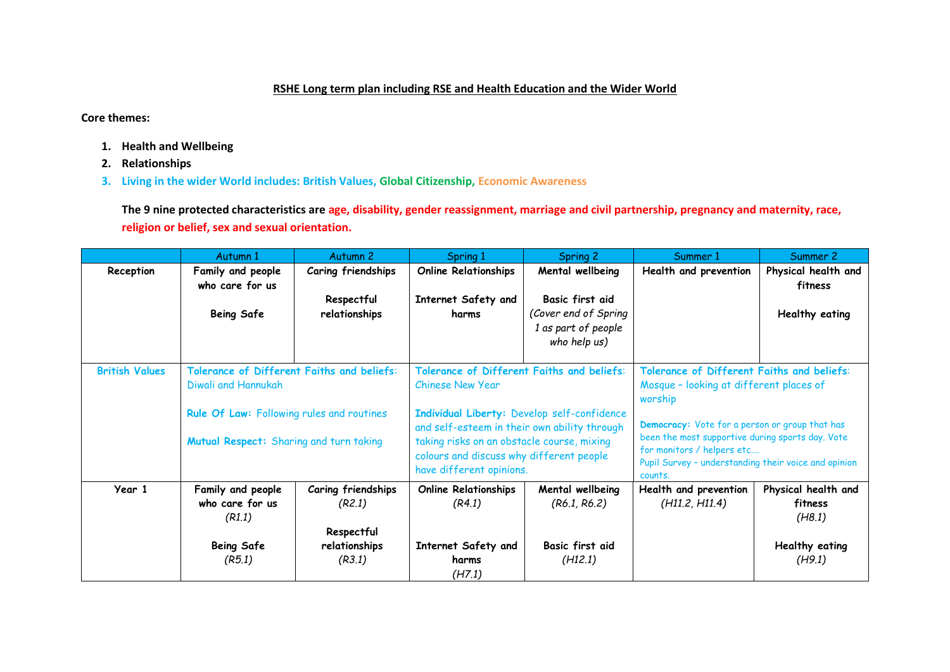## **RSHE Long term plan including RSE and Health Education and the Wider World**

**Core themes:**

- **1. Health and Wellbeing**
- **2. Relationships**
- **3. Living in the wider World includes: British Values, Global Citizenship, Economic Awareness**

**The 9 nine protected characteristics are age, disability, gender reassignment, marriage and civil partnership, pregnancy and maternity, race, religion or belief, sex and sexual orientation.**

|                       | Autumn 1                                                                             | Autumn <sub>2</sub>                        | Spring 1                                                                                                                                                                                                          | Spring 2                                                                       | Summer 1                                                                                                                                                                                            | Summer 2                                 |
|-----------------------|--------------------------------------------------------------------------------------|--------------------------------------------|-------------------------------------------------------------------------------------------------------------------------------------------------------------------------------------------------------------------|--------------------------------------------------------------------------------|-----------------------------------------------------------------------------------------------------------------------------------------------------------------------------------------------------|------------------------------------------|
| Reception             | Family and people<br>who care for us                                                 | Caring friendships                         | <b>Online Relationships</b>                                                                                                                                                                                       | Mental wellbeing                                                               | Health and prevention                                                                                                                                                                               | Physical health and<br>fitness           |
|                       | <b>Being Safe</b>                                                                    | Respectful<br>relationships                | Internet Safety and<br>harms                                                                                                                                                                                      | Basic first aid<br>(Cover end of Spring<br>1 as part of people<br>who help us) |                                                                                                                                                                                                     | <b>Healthy eating</b>                    |
| <b>British Values</b> | Tolerance of Different Faiths and beliefs:<br>Diwali and Hannukah                    |                                            | Tolerance of Different Faiths and beliefs:<br><b>Chinese New Year</b>                                                                                                                                             |                                                                                | Tolerance of Different Faiths and beliefs:<br>Mosque - looking at different places of<br>worship                                                                                                    |                                          |
|                       | Rule Of Law: Following rules and routines<br>Mutual Respect: Sharing and turn taking |                                            | Individual Liberty: Develop self-confidence<br>and self-esteem in their own ability through<br>taking risks on an obstacle course, mixing<br>colours and discuss why different people<br>have different opinions. |                                                                                | Democracy: Vote for a person or group that has<br>been the most supportive during sports day. Vote<br>for monitors / helpers etc<br>Pupil Survey - understanding their voice and opinion<br>counts. |                                          |
| Year 1                | Family and people<br>who care for us<br>(R1.1)                                       | Caring friendships<br>(R2.1)<br>Respectful | <b>Online Relationships</b><br>(R4.1)                                                                                                                                                                             | Mental wellbeing<br>(R6.1, R6.2)                                               | Health and prevention<br>(H11.2, H11.4)                                                                                                                                                             | Physical health and<br>fitness<br>(H8.1) |
|                       | <b>Being Safe</b><br>(R5.1)                                                          | relationships<br>(R3.1)                    | Internet Safety and<br>harms<br>(H7.1)                                                                                                                                                                            | Basic first aid<br>(H12.1)                                                     |                                                                                                                                                                                                     | Healthy eating<br>(H9.1)                 |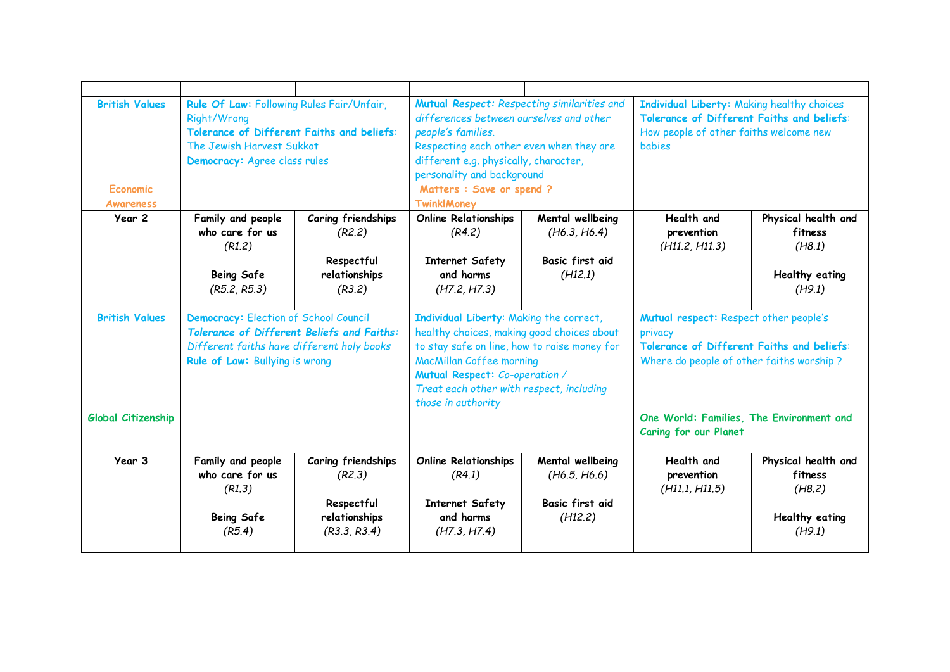| <b>British Values</b>               | Rule Of Law: Following Rules Fair/Unfair,<br>Right/Wrong<br>Tolerance of Different Faiths and beliefs:<br>The Jewish Harvest Sukkot<br>Democracy: Agree class rules        |                                                                             | Mutual Respect: Respecting similarities and<br>differences between ourselves and other<br>people's families.<br>Respecting each other even when they are<br>different e.g. physically, character,<br>personality and background                                       |                                                                | Individual Liberty: Making healthy choices<br>Tolerance of Different Faiths and beliefs:<br>How people of other faiths welcome new<br><b>b</b> abies |                                                                             |
|-------------------------------------|----------------------------------------------------------------------------------------------------------------------------------------------------------------------------|-----------------------------------------------------------------------------|-----------------------------------------------------------------------------------------------------------------------------------------------------------------------------------------------------------------------------------------------------------------------|----------------------------------------------------------------|------------------------------------------------------------------------------------------------------------------------------------------------------|-----------------------------------------------------------------------------|
| <b>Economic</b><br><b>Awareness</b> |                                                                                                                                                                            |                                                                             | Matters : Save or spend ?<br><b>TwinklMoney</b>                                                                                                                                                                                                                       |                                                                |                                                                                                                                                      |                                                                             |
| Year 2                              | Family and people<br>who care for us<br>(R1.2)<br><b>Being Safe</b><br>(R5.2, R5.3)                                                                                        | Caring friendships<br>(R2.2)<br>Respectful<br>relationships<br>(R3.2)       | <b>Online Relationships</b><br>(R4.2)<br><b>Internet Safety</b><br>and harms<br>(H7.2, H7.3)                                                                                                                                                                          | Mental wellbeing<br>(H6.3, H6.4)<br>Basic first aid<br>(H12.1) | Health and<br>prevention<br>(H11.2, H11.3)                                                                                                           | Physical health and<br>fitness<br>(H8.1)<br><b>Healthy eating</b><br>(H9.1) |
| <b>British Values</b>               | Democracy: Election of School Council<br><b>Tolerance of Different Beliefs and Faiths:</b><br>Different faiths have different holy books<br>Rule of Law: Bullying is wrong |                                                                             | Individual Liberty: Making the correct,<br>healthy choices, making good choices about<br>to stay safe on line, how to raise money for<br>MacMillan Coffee morning<br>Mutual Respect: Co-operation /<br>Treat each other with respect, including<br>those in authority |                                                                | Mutual respect: Respect other people's<br>privacy<br>Tolerance of Different Faiths and beliefs:<br>Where do people of other faiths worship?          |                                                                             |
| Global Citizenship                  |                                                                                                                                                                            |                                                                             |                                                                                                                                                                                                                                                                       |                                                                | One World: Families, The Environment and<br><b>Caring for our Planet</b>                                                                             |                                                                             |
| Year 3                              | Family and people<br>who care for us<br>(R1.3)<br><b>Being Safe</b><br>(R5.4)                                                                                              | Caring friendships<br>(R2.3)<br>Respectful<br>relationships<br>(R3.3, R3.4) | <b>Online Relationships</b><br>(R4.1)<br><b>Internet Safety</b><br>and harms<br>(H7.3, H7.4)                                                                                                                                                                          | Mental wellbeing<br>(H6.5, H6.6)<br>Basic first aid<br>(H12.2) | Health and<br>prevention<br>(H11.1, H11.5)                                                                                                           | Physical health and<br>fitness<br>(H8.2)<br><b>Healthy eating</b><br>(H9.1) |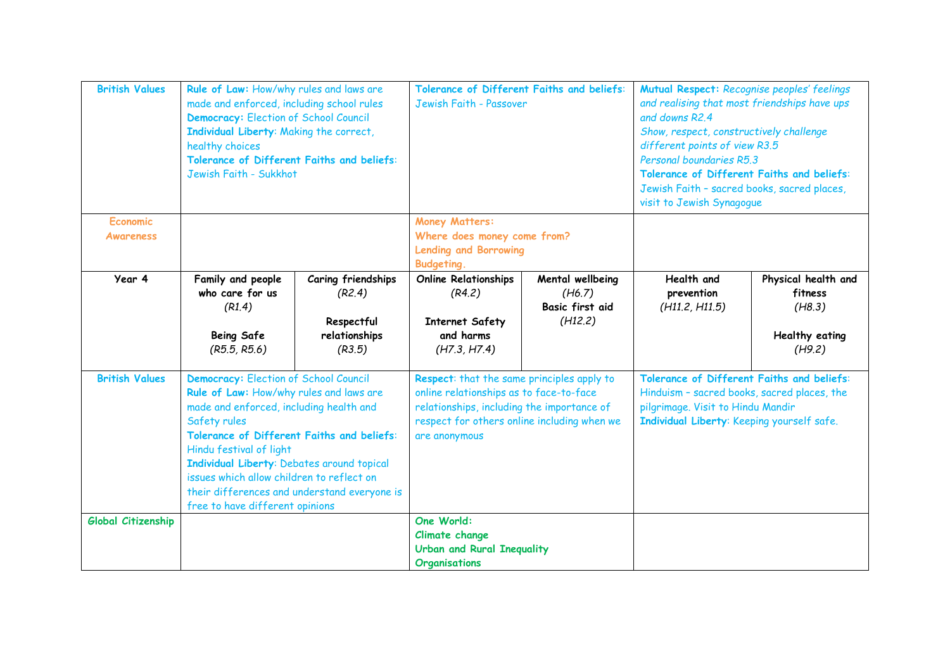| <b>British Values</b>               | Rule of Law: How/why rules and laws are<br>made and enforced, including school rules<br>Democracy: Election of School Council<br>Individual Liberty: Making the correct,<br>healthy choices<br>Tolerance of Different Faiths and beliefs:<br>Jewish Faith - Sukkhot                                                                                                                                |                                                                       | Tolerance of Different Faiths and beliefs:<br>Jewish Faith - Passover                                                                                                                               |                                                                 | Mutual Respect: Recognise peoples' feelings<br>and realising that most friendships have ups<br>and downs R2.4<br>Show, respect, constructively challenge<br>different points of view R3.5<br>Personal boundaries R5.3<br>Tolerance of Different Faiths and beliefs:<br>Jewish Faith - sacred books, sacred places,<br>visit to Jewish Synagogue |                                                                             |
|-------------------------------------|----------------------------------------------------------------------------------------------------------------------------------------------------------------------------------------------------------------------------------------------------------------------------------------------------------------------------------------------------------------------------------------------------|-----------------------------------------------------------------------|-----------------------------------------------------------------------------------------------------------------------------------------------------------------------------------------------------|-----------------------------------------------------------------|-------------------------------------------------------------------------------------------------------------------------------------------------------------------------------------------------------------------------------------------------------------------------------------------------------------------------------------------------|-----------------------------------------------------------------------------|
| <b>Economic</b><br><b>Awareness</b> |                                                                                                                                                                                                                                                                                                                                                                                                    |                                                                       | <b>Money Matters:</b><br>Where does money come from?<br><b>Lending and Borrowing</b><br><b>Budgeting</b>                                                                                            |                                                                 |                                                                                                                                                                                                                                                                                                                                                 |                                                                             |
| Year 4                              | Family and people<br>who care for us<br>(R1.4)<br><b>Being Safe</b><br>(R5.5, R5.6)                                                                                                                                                                                                                                                                                                                | Caring friendships<br>(R2.4)<br>Respectful<br>relationships<br>(R3.5) | <b>Online Relationships</b><br>(R4.2)<br><b>Internet Safety</b><br>and harms<br>(H7.3, H7.4)                                                                                                        | Mental wellbeing<br>(H6.7)<br><b>Basic first aid</b><br>(H12.2) | Health and<br>prevention<br>(H11.2, H11.5)                                                                                                                                                                                                                                                                                                      | Physical health and<br>fitness<br>(H8.3)<br><b>Healthy eating</b><br>(H9.2) |
| <b>British Values</b>               | Democracy: Election of School Council<br>Rule of Law: How/why rules and laws are<br>made and enforced, including health and<br>Safety rules<br>Tolerance of Different Faiths and beliefs:<br>Hindu festival of light<br>Individual Liberty: Debates around topical<br>issues which allow children to reflect on<br>their differences and understand everyone is<br>free to have different opinions |                                                                       | Respect: that the same principles apply to<br>online relationships as to face-to-face<br>relationships, including the importance of<br>respect for others online including when we<br>are anonymous |                                                                 | Tolerance of Different Faiths and beliefs:<br>Hinduism - sacred books, sacred places, the<br>pilgrimage. Visit to Hindu Mandir<br>Individual Liberty: Keeping yourself safe.                                                                                                                                                                    |                                                                             |
| Global Citizenship                  |                                                                                                                                                                                                                                                                                                                                                                                                    |                                                                       | One World:<br>Climate change<br><b>Urban and Rural Inequality</b><br><b>Organisations</b>                                                                                                           |                                                                 |                                                                                                                                                                                                                                                                                                                                                 |                                                                             |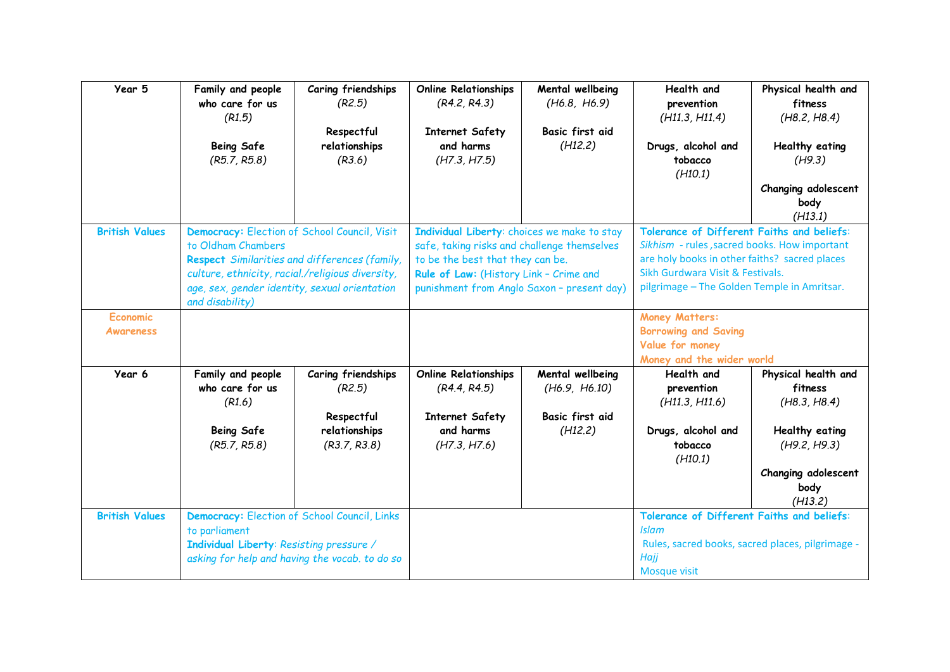| Year 5                              | Family and people<br>who care for us<br>(R1.5)<br><b>Being Safe</b><br>(R5.7, R5.8)                                                                                                                                                         | Caring friendships<br>(R2.5)<br>Respectful<br>relationships<br>(R3.6)       | <b>Online Relationships</b><br>(R4.2, R4.3)<br><b>Internet Safety</b><br>and harms<br>(H7.3, H7.5)                                                                                                                     | Mental wellbeing<br>(H6.8, H6.9)<br>Basic first aid<br>(H12.2)  | Health and<br>prevention<br>(H11.3, H11.4)<br>Drugs, alcohol and<br>tobacco<br>(H10.1)                                                                                                                                         | Physical health and<br>fitness<br>(H8.2, H8.4)<br><b>Healthy eating</b><br>(H9.3)<br>Changing adolescent<br>body<br>(H13.1)       |
|-------------------------------------|---------------------------------------------------------------------------------------------------------------------------------------------------------------------------------------------------------------------------------------------|-----------------------------------------------------------------------------|------------------------------------------------------------------------------------------------------------------------------------------------------------------------------------------------------------------------|-----------------------------------------------------------------|--------------------------------------------------------------------------------------------------------------------------------------------------------------------------------------------------------------------------------|-----------------------------------------------------------------------------------------------------------------------------------|
| <b>British Values</b>               | Democracy: Election of School Council, Visit<br>to Oldham Chambers<br>Respect Similarities and differences (family,<br>culture, ethnicity, racial./religious diversity,<br>age, sex, gender identity, sexual orientation<br>and disability) |                                                                             | Individual Liberty: choices we make to stay<br>safe, taking risks and challenge themselves<br>to be the best that they can be.<br>Rule of Law: (History Link - Crime and<br>punishment from Anglo Saxon - present day) |                                                                 | Tolerance of Different Faiths and beliefs:<br>Sikhism - rules, sacred books. How important<br>are holy books in other faiths? sacred places<br>Sikh Gurdwara Visit & Festivals.<br>pilgrimage - The Golden Temple in Amritsar. |                                                                                                                                   |
| <b>Economic</b><br><b>Awareness</b> |                                                                                                                                                                                                                                             |                                                                             |                                                                                                                                                                                                                        |                                                                 | <b>Money Matters:</b><br><b>Borrowing and Saving</b><br>Value for money<br>Money and the wider world                                                                                                                           |                                                                                                                                   |
| Year 6                              | Family and people<br>who care for us<br>(R1.6)<br><b>Being Safe</b><br>(R5.7, R5.8)                                                                                                                                                         | Caring friendships<br>(R2.5)<br>Respectful<br>relationships<br>(R3.7, R3.8) | <b>Online Relationships</b><br>(R4.4, R4.5)<br><b>Internet Safety</b><br>and harms<br>(H7.3, H7.6)                                                                                                                     | Mental wellbeing<br>(H6.9, H6.10)<br>Basic first aid<br>(H12.2) | Health and<br>prevention<br>(H11.3, H11.6)<br>Drugs, alcohol and<br>tobacco<br>(H10.1)                                                                                                                                         | Physical health and<br>fitness<br>(H8.3, H8.4)<br><b>Healthy eating</b><br>(H9.2, H9.3)<br>Changing adolescent<br>body<br>(H13.2) |
| <b>British Values</b>               | Democracy: Election of School Council, Links<br>to parliament<br>Individual Liberty: Resisting pressure /<br>asking for help and having the vocab. to do so                                                                                 |                                                                             | Tolerance of Different Faiths and beliefs:<br><b>Islam</b><br>Rules, sacred books, sacred places, pilgrimage -<br>Hajj<br>Mosque visit                                                                                 |                                                                 |                                                                                                                                                                                                                                |                                                                                                                                   |